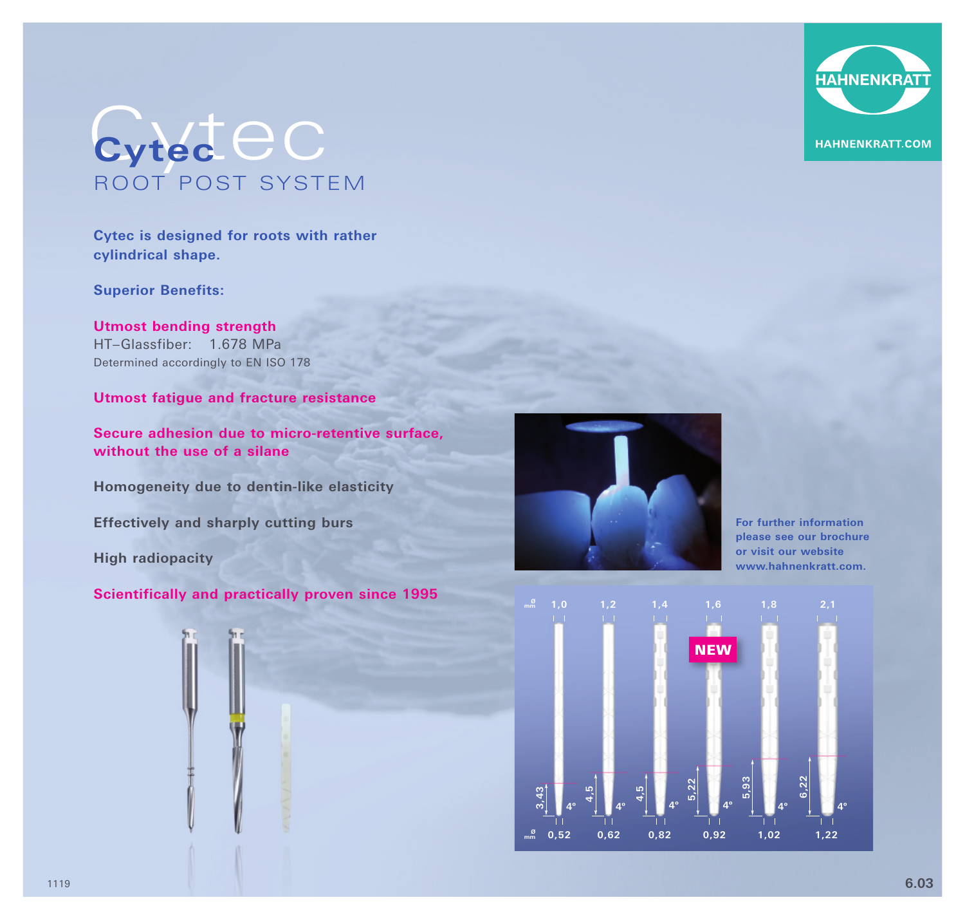## Cytec **Cytec** ROOT POST SYSTEM

**Cytec is designed for roots with rather cylindrical shape.** 

**Superior Benefits:** 

**Utmost bending strength** HT–Glassfiber: 1.678 MPa Determined accordingly to EN ISO 178

**Utmost fatigue and fracture resistance** 

**Secure adhesion due to micro-retentive surface, without the use of a silane**

**Homogeneity due to dentin-like elasticity** 

**Effectively and sharply cutting burs** 

**High radiopacity** 

## **Scientifically and practically proven since 1995**



**For further information please see our brochure or visit our website www.hahnenkratt.com.**